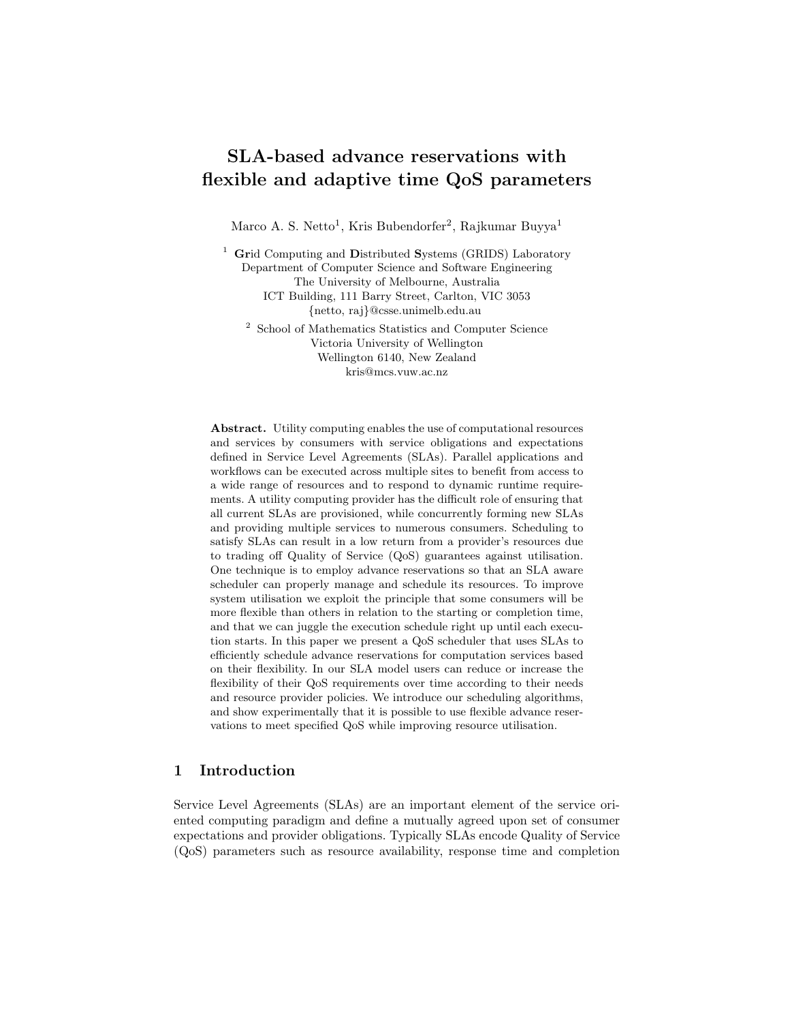# SLA-based advance reservations with flexible and adaptive time QoS parameters

Marco A. S. Netto<sup>1</sup>, Kris Bubendorfer<sup>2</sup>, Rajkumar Buyya<sup>1</sup>

 $1$  Grid Computing and Distributed Systems (GRIDS) Laboratory Department of Computer Science and Software Engineering The University of Melbourne, Australia ICT Building, 111 Barry Street, Carlton, VIC 3053 {netto, raj}@csse.unimelb.edu.au

<sup>2</sup> School of Mathematics Statistics and Computer Science Victoria University of Wellington Wellington 6140, New Zealand kris@mcs.vuw.ac.nz

Abstract. Utility computing enables the use of computational resources and services by consumers with service obligations and expectations defined in Service Level Agreements (SLAs). Parallel applications and workflows can be executed across multiple sites to benefit from access to a wide range of resources and to respond to dynamic runtime requirements. A utility computing provider has the difficult role of ensuring that all current SLAs are provisioned, while concurrently forming new SLAs and providing multiple services to numerous consumers. Scheduling to satisfy SLAs can result in a low return from a provider's resources due to trading off Quality of Service (QoS) guarantees against utilisation. One technique is to employ advance reservations so that an SLA aware scheduler can properly manage and schedule its resources. To improve system utilisation we exploit the principle that some consumers will be more flexible than others in relation to the starting or completion time, and that we can juggle the execution schedule right up until each execution starts. In this paper we present a QoS scheduler that uses SLAs to efficiently schedule advance reservations for computation services based on their flexibility. In our SLA model users can reduce or increase the flexibility of their QoS requirements over time according to their needs and resource provider policies. We introduce our scheduling algorithms, and show experimentally that it is possible to use flexible advance reservations to meet specified QoS while improving resource utilisation.

# 1 Introduction

Service Level Agreements (SLAs) are an important element of the service oriented computing paradigm and define a mutually agreed upon set of consumer expectations and provider obligations. Typically SLAs encode Quality of Service (QoS) parameters such as resource availability, response time and completion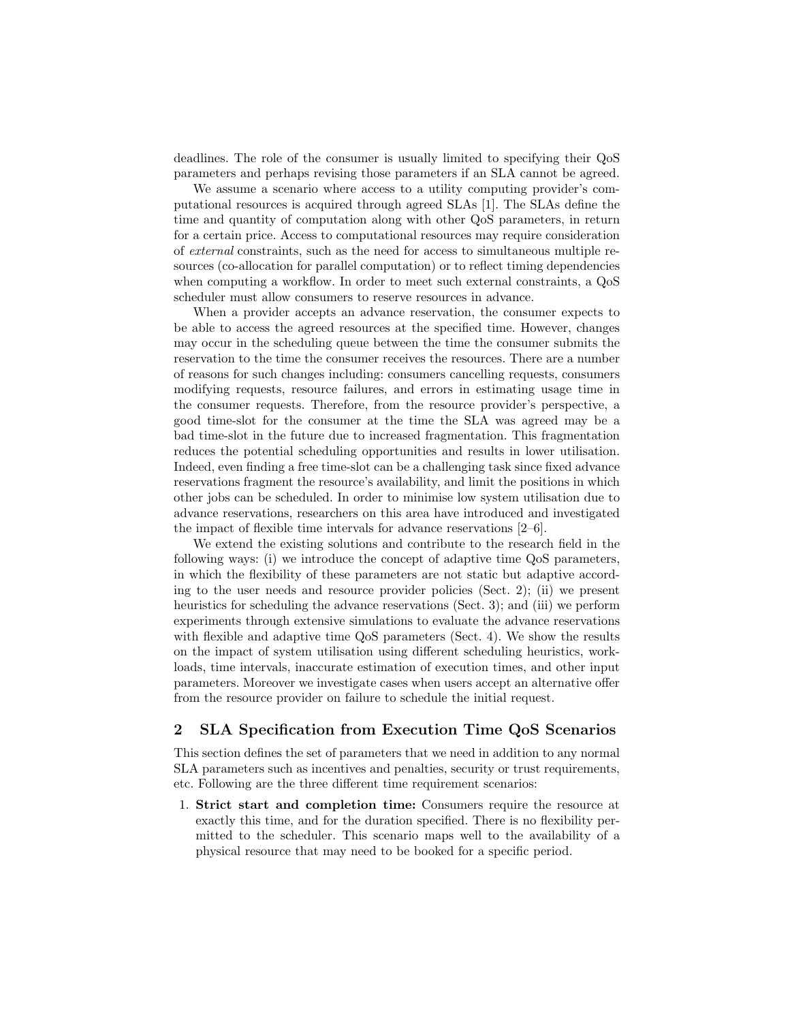deadlines. The role of the consumer is usually limited to specifying their QoS parameters and perhaps revising those parameters if an SLA cannot be agreed.

We assume a scenario where access to a utility computing provider's computational resources is acquired through agreed SLAs [1]. The SLAs define the time and quantity of computation along with other QoS parameters, in return for a certain price. Access to computational resources may require consideration of external constraints, such as the need for access to simultaneous multiple resources (co-allocation for parallel computation) or to reflect timing dependencies when computing a workflow. In order to meet such external constraints, a QoS scheduler must allow consumers to reserve resources in advance.

When a provider accepts an advance reservation, the consumer expects to be able to access the agreed resources at the specified time. However, changes may occur in the scheduling queue between the time the consumer submits the reservation to the time the consumer receives the resources. There are a number of reasons for such changes including: consumers cancelling requests, consumers modifying requests, resource failures, and errors in estimating usage time in the consumer requests. Therefore, from the resource provider's perspective, a good time-slot for the consumer at the time the SLA was agreed may be a bad time-slot in the future due to increased fragmentation. This fragmentation reduces the potential scheduling opportunities and results in lower utilisation. Indeed, even finding a free time-slot can be a challenging task since fixed advance reservations fragment the resource's availability, and limit the positions in which other jobs can be scheduled. In order to minimise low system utilisation due to advance reservations, researchers on this area have introduced and investigated the impact of flexible time intervals for advance reservations [2–6].

We extend the existing solutions and contribute to the research field in the following ways: (i) we introduce the concept of adaptive time QoS parameters, in which the flexibility of these parameters are not static but adaptive according to the user needs and resource provider policies (Sect. 2); (ii) we present heuristics for scheduling the advance reservations (Sect. 3); and (iii) we perform experiments through extensive simulations to evaluate the advance reservations with flexible and adaptive time QoS parameters (Sect. 4). We show the results on the impact of system utilisation using different scheduling heuristics, workloads, time intervals, inaccurate estimation of execution times, and other input parameters. Moreover we investigate cases when users accept an alternative offer from the resource provider on failure to schedule the initial request.

# 2 SLA Specification from Execution Time QoS Scenarios

This section defines the set of parameters that we need in addition to any normal SLA parameters such as incentives and penalties, security or trust requirements, etc. Following are the three different time requirement scenarios:

1. Strict start and completion time: Consumers require the resource at exactly this time, and for the duration specified. There is no flexibility permitted to the scheduler. This scenario maps well to the availability of a physical resource that may need to be booked for a specific period.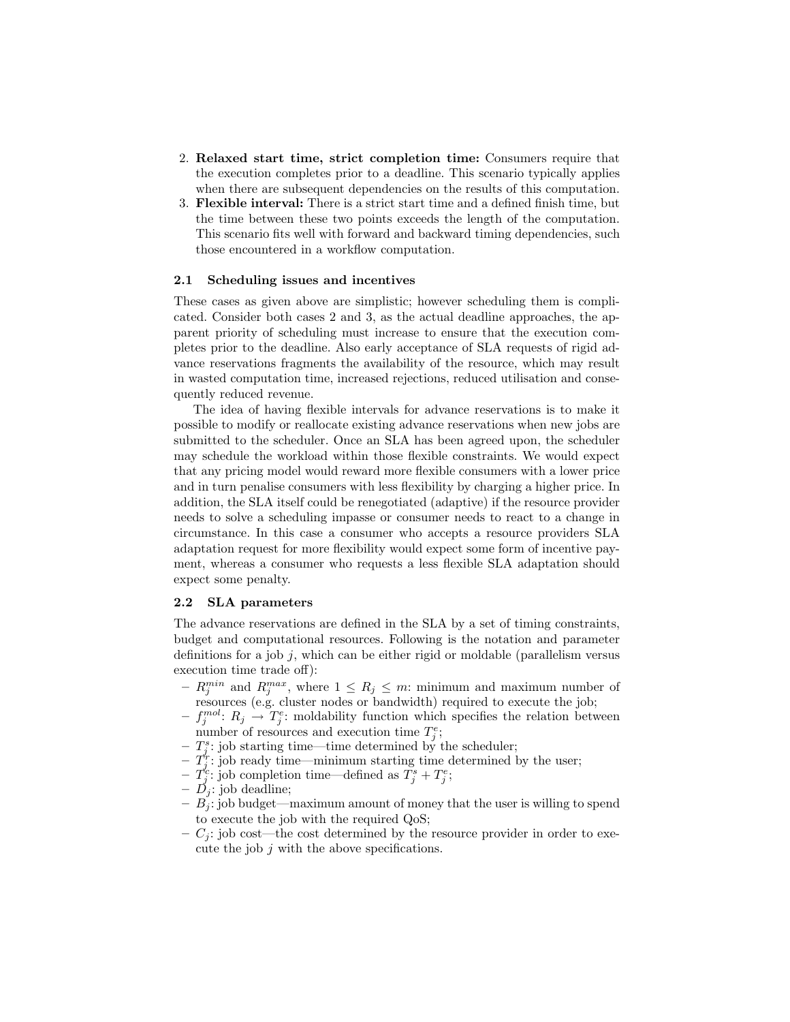- 2. Relaxed start time, strict completion time: Consumers require that the execution completes prior to a deadline. This scenario typically applies when there are subsequent dependencies on the results of this computation.
- 3. Flexible interval: There is a strict start time and a defined finish time, but the time between these two points exceeds the length of the computation. This scenario fits well with forward and backward timing dependencies, such those encountered in a workflow computation.

# 2.1 Scheduling issues and incentives

These cases as given above are simplistic; however scheduling them is complicated. Consider both cases 2 and 3, as the actual deadline approaches, the apparent priority of scheduling must increase to ensure that the execution completes prior to the deadline. Also early acceptance of SLA requests of rigid advance reservations fragments the availability of the resource, which may result in wasted computation time, increased rejections, reduced utilisation and consequently reduced revenue.

The idea of having flexible intervals for advance reservations is to make it possible to modify or reallocate existing advance reservations when new jobs are submitted to the scheduler. Once an SLA has been agreed upon, the scheduler may schedule the workload within those flexible constraints. We would expect that any pricing model would reward more flexible consumers with a lower price and in turn penalise consumers with less flexibility by charging a higher price. In addition, the SLA itself could be renegotiated (adaptive) if the resource provider needs to solve a scheduling impasse or consumer needs to react to a change in circumstance. In this case a consumer who accepts a resource providers SLA adaptation request for more flexibility would expect some form of incentive payment, whereas a consumer who requests a less flexible SLA adaptation should expect some penalty.

### 2.2 SLA parameters

The advance reservations are defined in the SLA by a set of timing constraints, budget and computational resources. Following is the notation and parameter definitions for a job  $j$ , which can be either rigid or moldable (parallelism versus execution time trade off):

- $R_j^{min}$  and  $R_j^{max}$ , where  $1 \leq R_j \leq m$ : minimum and maximum number of resources (e.g. cluster nodes or bandwidth) required to execute the job;
- $-f_j^{mol}: R_j \rightarrow T_j^e$ : moldability function which specifies the relation between number of resources and execution time  $T_i^e$ ;
- million of resources and execution time  $I_j$ ,<br>-  $T_j^s$ : job starting time—time determined by the scheduler;
- $-T'_j$ : job ready time—minimum starting time determined by the user;
- $T_j^c$ : job completion time—defined as  $T_j^s + T_j^e$ ;
- $D_j$ : job deadline;
- $B_i$ : job budget—maximum amount of money that the user is willing to spend to execute the job with the required QoS;
- $-C_i$ : job cost—the cost determined by the resource provider in order to execute the job  $j$  with the above specifications.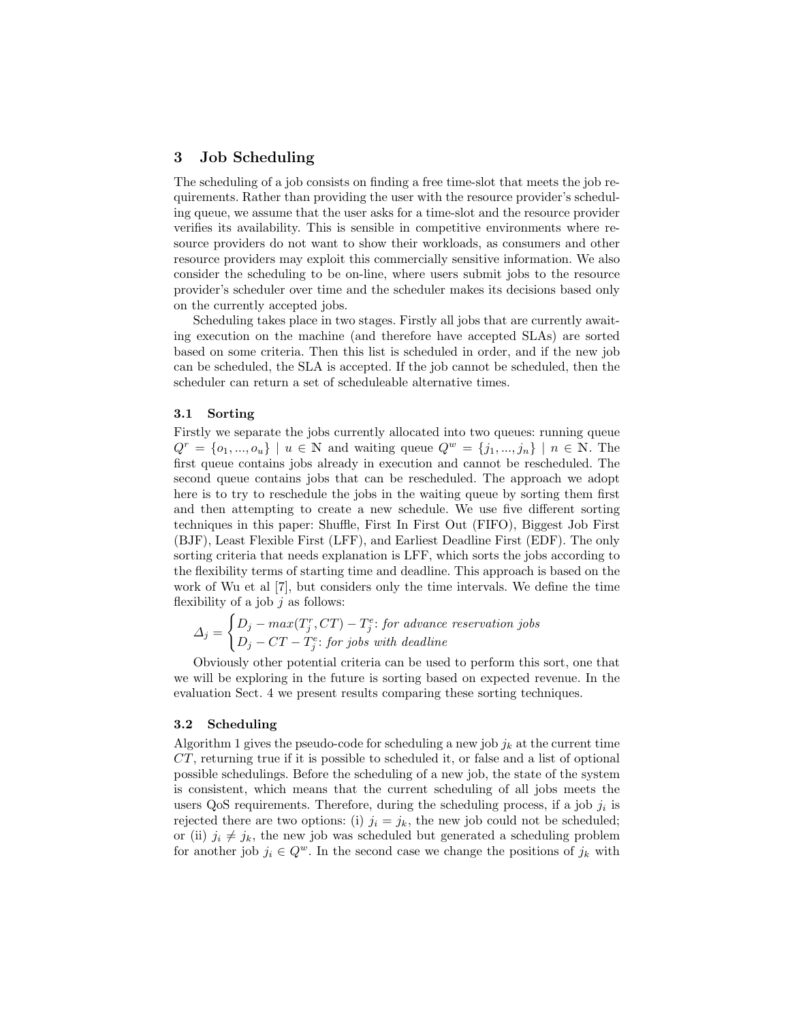# 3 Job Scheduling

The scheduling of a job consists on finding a free time-slot that meets the job requirements. Rather than providing the user with the resource provider's scheduling queue, we assume that the user asks for a time-slot and the resource provider verifies its availability. This is sensible in competitive environments where resource providers do not want to show their workloads, as consumers and other resource providers may exploit this commercially sensitive information. We also consider the scheduling to be on-line, where users submit jobs to the resource provider's scheduler over time and the scheduler makes its decisions based only on the currently accepted jobs.

Scheduling takes place in two stages. Firstly all jobs that are currently awaiting execution on the machine (and therefore have accepted SLAs) are sorted based on some criteria. Then this list is scheduled in order, and if the new job can be scheduled, the SLA is accepted. If the job cannot be scheduled, then the scheduler can return a set of scheduleable alternative times.

#### 3.1 Sorting

Firstly we separate the jobs currently allocated into two queues: running queue  $Q^r = \{o_1, ..., o_u\} \mid u \in \mathbb{N}$  and waiting queue  $Q^w = \{j_1, ..., j_n\} \mid n \in \mathbb{N}$ . The first queue contains jobs already in execution and cannot be rescheduled. The second queue contains jobs that can be rescheduled. The approach we adopt here is to try to reschedule the jobs in the waiting queue by sorting them first and then attempting to create a new schedule. We use five different sorting techniques in this paper: Shuffle, First In First Out (FIFO), Biggest Job First (BJF), Least Flexible First (LFF), and Earliest Deadline First (EDF). The only sorting criteria that needs explanation is LFF, which sorts the jobs according to the flexibility terms of starting time and deadline. This approach is based on the work of Wu et al [7], but considers only the time intervals. We define the time flexibility of a job  $j$  as follows:

$$
\Delta_j = \begin{cases} D_j - max(T_j^r, CT) - T_j^e; \text{ for advance reservation jobs} \\ D_j - CT - T_j^e; \text{ for jobs with deadline} \end{cases}
$$

Obviously other potential criteria can be used to perform this sort, one that we will be exploring in the future is sorting based on expected revenue. In the evaluation Sect. 4 we present results comparing these sorting techniques.

### 3.2 Scheduling

Algorithm 1 gives the pseudo-code for scheduling a new job  $j_k$  at the current time CT, returning true if it is possible to scheduled it, or false and a list of optional possible schedulings. Before the scheduling of a new job, the state of the system is consistent, which means that the current scheduling of all jobs meets the users  $QoS$  requirements. Therefore, during the scheduling process, if a job  $j_i$  is rejected there are two options: (i)  $j_i = j_k$ , the new job could not be scheduled; or (ii)  $j_i \neq j_k$ , the new job was scheduled but generated a scheduling problem for another job  $j_i \in Q^w$ . In the second case we change the positions of  $j_k$  with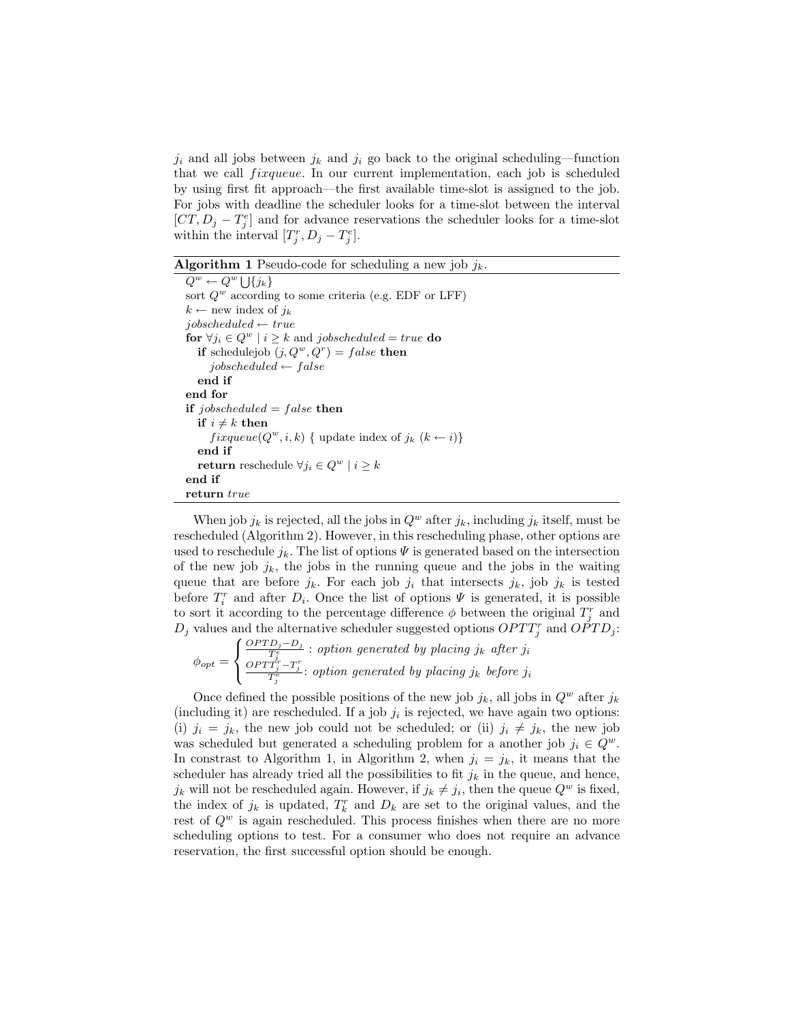$j_i$  and all jobs between  $j_k$  and  $j_i$  go back to the original scheduling—function that we call  $fixqueue$ . In our current implementation, each job is scheduled by using first fit approach—the first available time-slot is assigned to the job. For jobs with deadline the scheduler looks for a time-slot between the interval  $[CT, D_j - T_j^e]$  and for advance reservations the scheduler looks for a time-slot within the interval  $[T_j^r, D_j - T_j^e]$ .

**Algorithm 1** Pseudo-code for scheduling a new job  $j_k$ .

 $Q^w \leftarrow Q^w \bigcup \{j_k\}$ sort  $Q^w$  according to some criteria (e.g. EDF or LFF)  $k \leftarrow$  new index of  $i_k$  $jobscheduled \leftarrow true$ for  $\forall j_i \in Q^w \mid i \geq k$  and jobscheduled = true do if schedulejob  $(j, Q^w, Q^r) = false$  then  $jobscheduled \leftarrow false$ end if end for if jobscheduled = false then if  $i \neq k$  then fixqueue( $Q^w, i, k$ ) { update index of  $j_k$   $(k \leftarrow i)$ } end if return reschedule  $\forall j_i \in Q^w \mid i \geq k$ end if return true

When job  $j_k$  is rejected, all the jobs in  $Q^w$  after  $j_k$ , including  $j_k$  itself, must be rescheduled (Algorithm 2). However, in this rescheduling phase, other options are used to reschedule  $j_k$ . The list of options  $\Psi$  is generated based on the intersection of the new job  $j_k$ , the jobs in the running queue and the jobs in the waiting queue that are before  $j_k$ . For each job  $j_i$  that intersects  $j_k$ , job  $j_k$  is tested before  $T_i^r$  and after  $D_i$ . Once the list of options  $\Psi$  is generated, it is possible to sort it according to the percentage difference  $\phi$  between the original  $T_j^r$  and  $D_j$  values and the alternative scheduler suggested options  $OPT T_j^r$  and  $OPT D_j$ :

$$
\phi_{opt} = \begin{cases} \frac{OPTD_j - D_j}{T^e_j} : \text{ option generated by placing } j_k \text{ after } j_i\\ \frac{OPTT^f_j - T^r_j}{T^e_j} : \text{ option generated by placing } j_k \text{ before } j_i \end{cases}
$$

Once defined the possible positions of the new job  $j_k$ , all jobs in  $Q^w$  after  $j_k$ (including it) are rescheduled. If a job  $j_i$  is rejected, we have again two options: (i)  $j_i = j_k$ , the new job could not be scheduled; or (ii)  $j_i \neq j_k$ , the new job was scheduled but generated a scheduling problem for a another job  $j_i \in Q^w$ . In constrast to Algorithm 1, in Algorithm 2, when  $j_i = j_k$ , it means that the scheduler has already tried all the possibilities to fit  $j_k$  in the queue, and hence,  $j_k$  will not be rescheduled again. However, if  $j_k \neq j_i$ , then the queue  $Q^w$  is fixed, the index of  $j_k$  is updated,  $T_k^r$  and  $D_k$  are set to the original values, and the rest of  $Q^w$  is again rescheduled. This process finishes when there are no more scheduling options to test. For a consumer who does not require an advance reservation, the first successful option should be enough.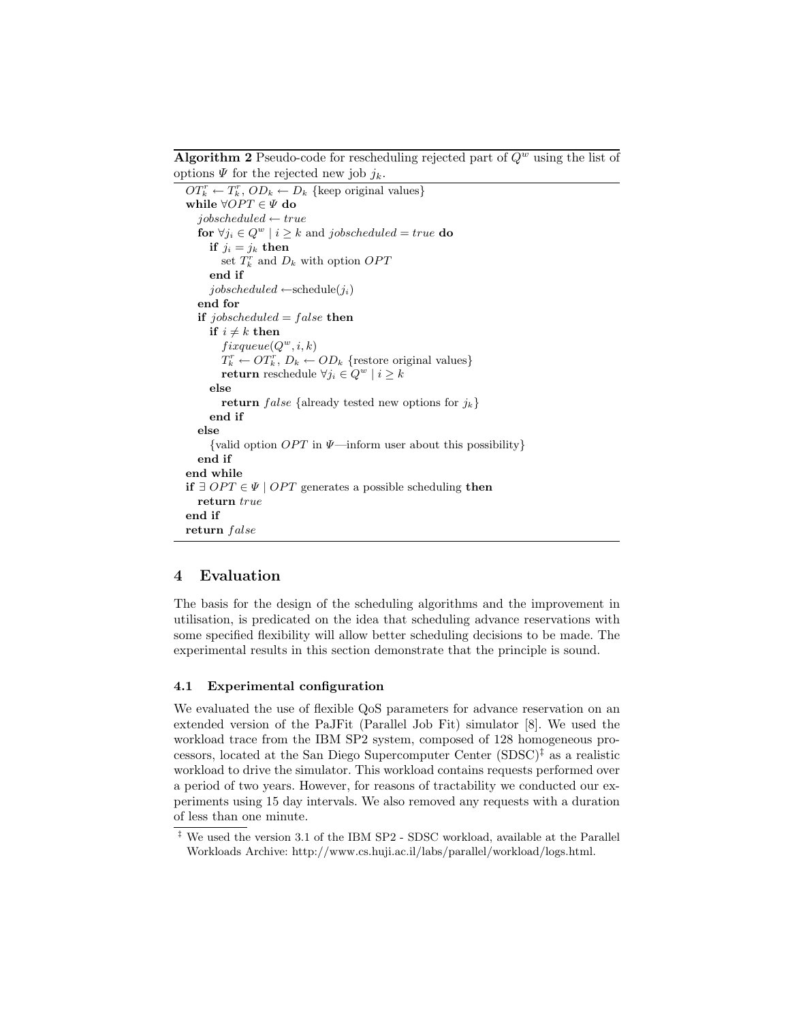**Algorithm 2** Pseudo-code for rescheduling rejected part of  $Q^w$  using the list of options  $\Psi$  for the rejected new job  $j_k$ .

```
OT_k^r \leftarrow T_k^r, OD_k \leftarrow D_k {keep original values}
while \forall OPT \in \Psi do
  iobscheduled ← true
   for \forall j_i \in Q^w \mid i \geq k and jobscheduled = true do
     if j_i = j_k then
        set T_k^r and D_k with option OPTend if
     iobscheduled ←schedule(i_i)end for
  if jobscheduled = false then
     if i \neq k then
        fixqueue(Q^w, i, k)T_k^r \leftarrow OT_k^r, D_k \leftarrow OD_k {restore original values}
        return reschedule \forall j_i \in Q^w \mid i \geq kelse
        return false {already tested new options for j_k}
     end if
  else
     {valid option OPT in \Psi—inform user about this possibility}
  end if
end while
if ∃ OPT \in \Psi | OPT generates a possible scheduling then
  return true
end if
return false
```
# 4 Evaluation

The basis for the design of the scheduling algorithms and the improvement in utilisation, is predicated on the idea that scheduling advance reservations with some specified flexibility will allow better scheduling decisions to be made. The experimental results in this section demonstrate that the principle is sound.

### 4.1 Experimental configuration

We evaluated the use of flexible QoS parameters for advance reservation on an extended version of the PaJFit (Parallel Job Fit) simulator [8]. We used the workload trace from the IBM SP2 system, composed of 128 homogeneous processors, located at the San Diego Supercomputer Center  $(SDSC)^{\ddagger}$  as a realistic workload to drive the simulator. This workload contains requests performed over a period of two years. However, for reasons of tractability we conducted our experiments using 15 day intervals. We also removed any requests with a duration of less than one minute.

 $^\ddag$  We used the version 3.1 of the IBM SP2 - SDSC workload, available at the Parallel Workloads Archive: http://www.cs.huji.ac.il/labs/parallel/workload/logs.html.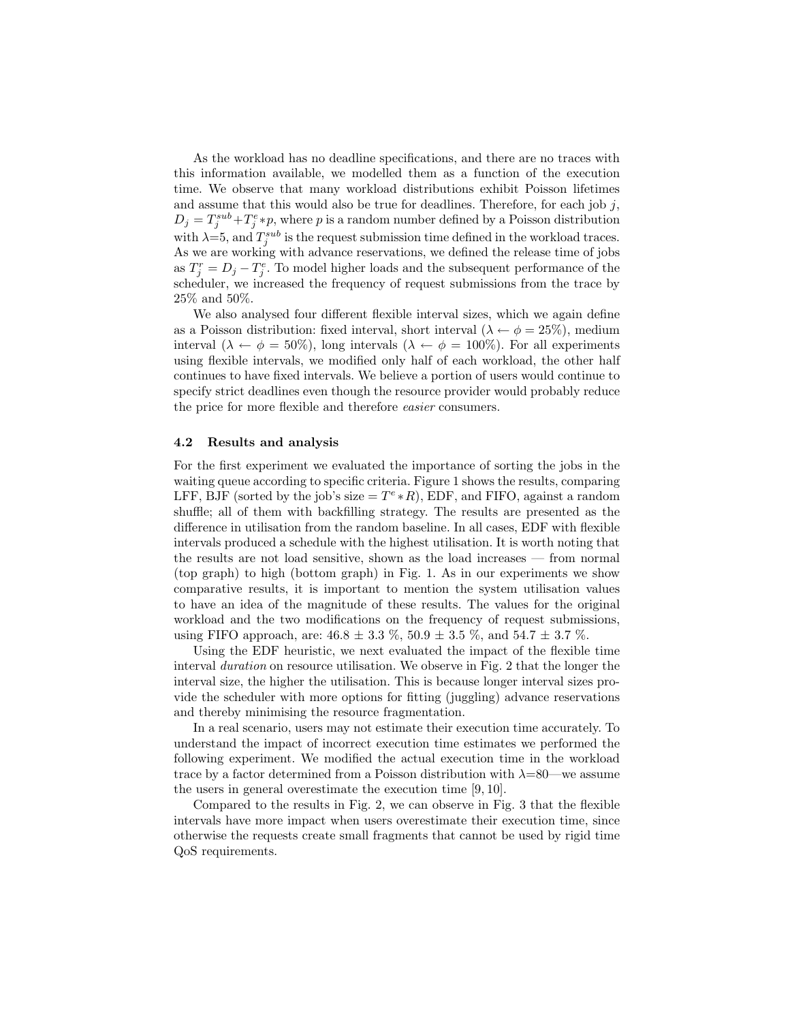As the workload has no deadline specifications, and there are no traces with this information available, we modelled them as a function of the execution time. We observe that many workload distributions exhibit Poisson lifetimes and assume that this would also be true for deadlines. Therefore, for each job  $j$ ,  $D_j = T_j^{sub} + T_j^e * p$ , where p is a random number defined by a Poisson distribution with  $\lambda = 5$ , and  $T_j^{sub}$  is the request submission time defined in the workload traces. As we are working with advance reservations, we defined the release time of jobs as  $T_j^r = D_j - T_j^e$ . To model higher loads and the subsequent performance of the scheduler, we increased the frequency of request submissions from the trace by 25% and 50%.

We also analysed four different flexible interval sizes, which we again define as a Poisson distribution: fixed interval, short interval  $(\lambda \leftarrow \phi = 25\%)$ , medium interval  $(\lambda \leftarrow \phi = 50\%)$ , long intervals  $(\lambda \leftarrow \phi = 100\%)$ . For all experiments using flexible intervals, we modified only half of each workload, the other half continues to have fixed intervals. We believe a portion of users would continue to specify strict deadlines even though the resource provider would probably reduce the price for more flexible and therefore easier consumers.

#### 4.2 Results and analysis

For the first experiment we evaluated the importance of sorting the jobs in the waiting queue according to specific criteria. Figure 1 shows the results, comparing LFF, BJF (sorted by the job's size =  $T^e * R$ ), EDF, and FIFO, against a random shuffle; all of them with backfilling strategy. The results are presented as the difference in utilisation from the random baseline. In all cases, EDF with flexible intervals produced a schedule with the highest utilisation. It is worth noting that the results are not load sensitive, shown as the load increases — from normal (top graph) to high (bottom graph) in Fig. 1. As in our experiments we show comparative results, it is important to mention the system utilisation values to have an idea of the magnitude of these results. The values for the original workload and the two modifications on the frequency of request submissions, using FIFO approach, are:  $46.8 \pm 3.3$  %,  $50.9 \pm 3.5$  %, and  $54.7 \pm 3.7$  %.

Using the EDF heuristic, we next evaluated the impact of the flexible time interval duration on resource utilisation. We observe in Fig. 2 that the longer the interval size, the higher the utilisation. This is because longer interval sizes provide the scheduler with more options for fitting (juggling) advance reservations and thereby minimising the resource fragmentation.

In a real scenario, users may not estimate their execution time accurately. To understand the impact of incorrect execution time estimates we performed the following experiment. We modified the actual execution time in the workload trace by a factor determined from a Poisson distribution with  $\lambda=80$ —we assume the users in general overestimate the execution time [9, 10].

Compared to the results in Fig. 2, we can observe in Fig. 3 that the flexible intervals have more impact when users overestimate their execution time, since otherwise the requests create small fragments that cannot be used by rigid time QoS requirements.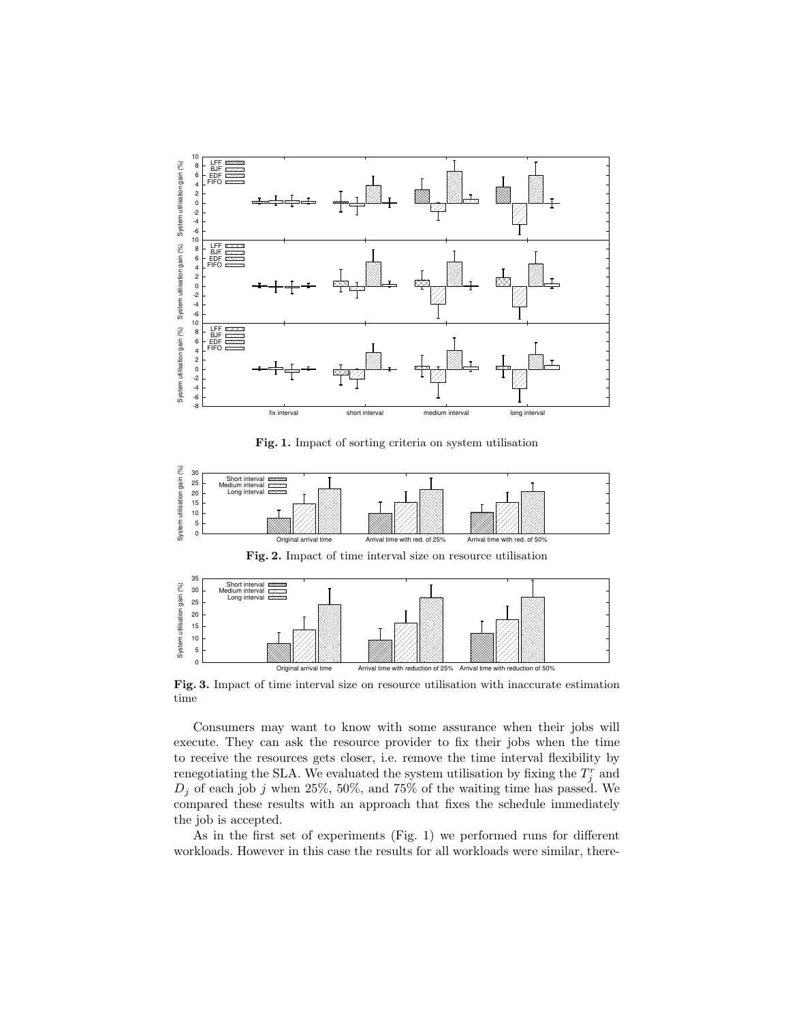

Fig. 1. Impact of sorting criteria on system utilisation



Original arrival time Arrival time with reduction of 25% Arrival time

Fig. 3. Impact of time interval size on resource utilisation with inaccurate estimation time

Consumers may want to know with some assurance when their jobs will execute. They can ask the resource provider to fix their jobs when the time to receive the resources gets closer, i.e. remove the time interval flexibility by renegotiating the SLA. We evaluated the system utilisation by fixing the  $T_j^r$  and  $D_i$  of each job j when 25%, 50%, and 75% of the waiting time has passed. We compared these results with an approach that fixes the schedule immediately the job is accepted.

As in the first set of experiments (Fig. 1) we performed runs for different workloads. However in this case the results for all workloads were similar, there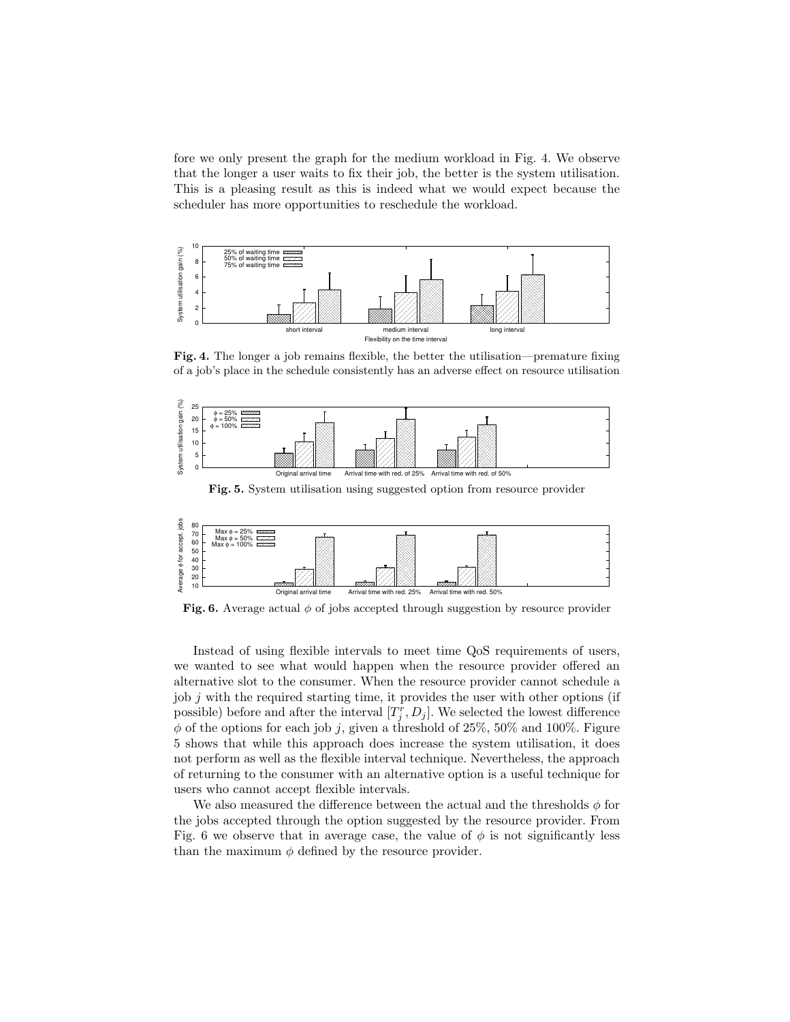fore we only present the graph for the medium workload in Fig. 4. We observe that the longer a user waits to fix their job, the better is the system utilisation. This is a pleasing result as this is indeed what we would expect because the scheduler has more opportunities to reschedule the workload.



Fig. 4. The longer a job remains flexible, the better the utilisation—premature fixing of a job's place in the schedule consistently has an adverse effect on resource utilisation





Fig. 6. Average actual  $\phi$  of jobs accepted through suggestion by resource provider

Instead of using flexible intervals to meet time QoS requirements of users, we wanted to see what would happen when the resource provider offered an alternative slot to the consumer. When the resource provider cannot schedule a job  $j$  with the required starting time, it provides the user with other options (if possible) before and after the interval  $[T_j^r, D_j]$ . We selected the lowest difference  $\phi$  of the options for each job j, given a threshold of 25%, 50% and 100%. Figure 5 shows that while this approach does increase the system utilisation, it does not perform as well as the flexible interval technique. Nevertheless, the approach of returning to the consumer with an alternative option is a useful technique for users who cannot accept flexible intervals.

We also measured the difference between the actual and the thresholds  $\phi$  for the jobs accepted through the option suggested by the resource provider. From Fig. 6 we observe that in average case, the value of  $\phi$  is not significantly less than the maximum  $\phi$  defined by the resource provider.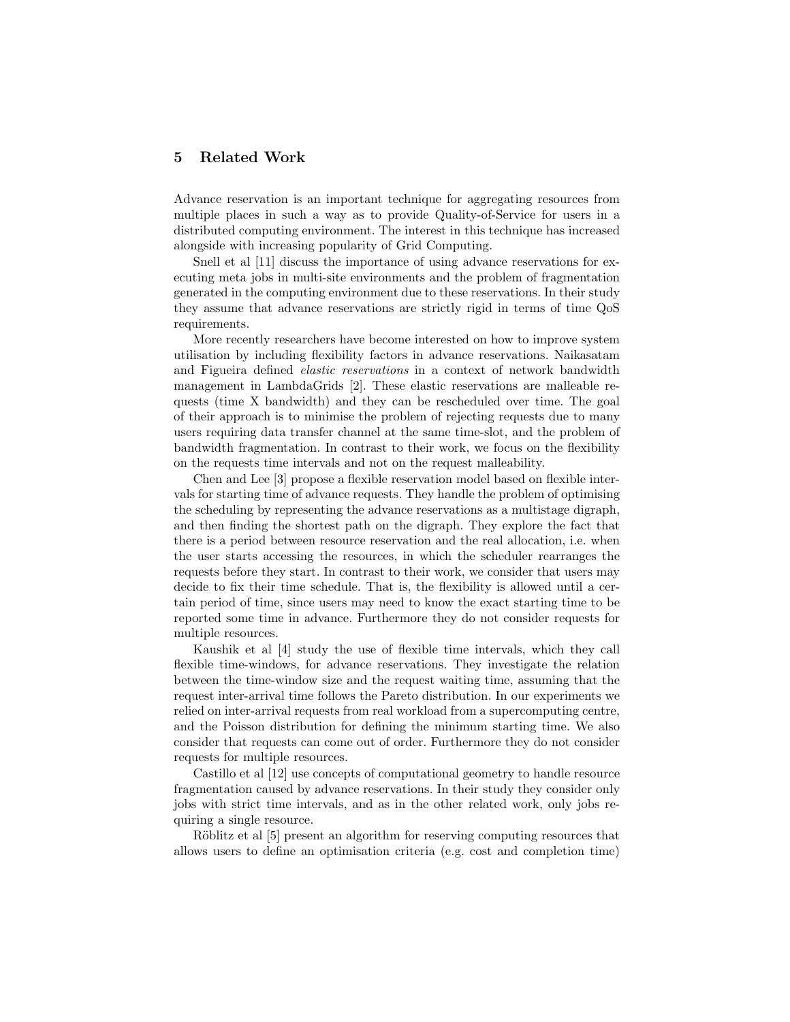# 5 Related Work

Advance reservation is an important technique for aggregating resources from multiple places in such a way as to provide Quality-of-Service for users in a distributed computing environment. The interest in this technique has increased alongside with increasing popularity of Grid Computing.

Snell et al [11] discuss the importance of using advance reservations for executing meta jobs in multi-site environments and the problem of fragmentation generated in the computing environment due to these reservations. In their study they assume that advance reservations are strictly rigid in terms of time QoS requirements.

More recently researchers have become interested on how to improve system utilisation by including flexibility factors in advance reservations. Naikasatam and Figueira defined *elastic reservations* in a context of network bandwidth management in LambdaGrids [2]. These elastic reservations are malleable requests (time X bandwidth) and they can be rescheduled over time. The goal of their approach is to minimise the problem of rejecting requests due to many users requiring data transfer channel at the same time-slot, and the problem of bandwidth fragmentation. In contrast to their work, we focus on the flexibility on the requests time intervals and not on the request malleability.

Chen and Lee [3] propose a flexible reservation model based on flexible intervals for starting time of advance requests. They handle the problem of optimising the scheduling by representing the advance reservations as a multistage digraph, and then finding the shortest path on the digraph. They explore the fact that there is a period between resource reservation and the real allocation, i.e. when the user starts accessing the resources, in which the scheduler rearranges the requests before they start. In contrast to their work, we consider that users may decide to fix their time schedule. That is, the flexibility is allowed until a certain period of time, since users may need to know the exact starting time to be reported some time in advance. Furthermore they do not consider requests for multiple resources.

Kaushik et al [4] study the use of flexible time intervals, which they call flexible time-windows, for advance reservations. They investigate the relation between the time-window size and the request waiting time, assuming that the request inter-arrival time follows the Pareto distribution. In our experiments we relied on inter-arrival requests from real workload from a supercomputing centre, and the Poisson distribution for defining the minimum starting time. We also consider that requests can come out of order. Furthermore they do not consider requests for multiple resources.

Castillo et al [12] use concepts of computational geometry to handle resource fragmentation caused by advance reservations. In their study they consider only jobs with strict time intervals, and as in the other related work, only jobs requiring a single resource.

Röblitz et al [5] present an algorithm for reserving computing resources that allows users to define an optimisation criteria (e.g. cost and completion time)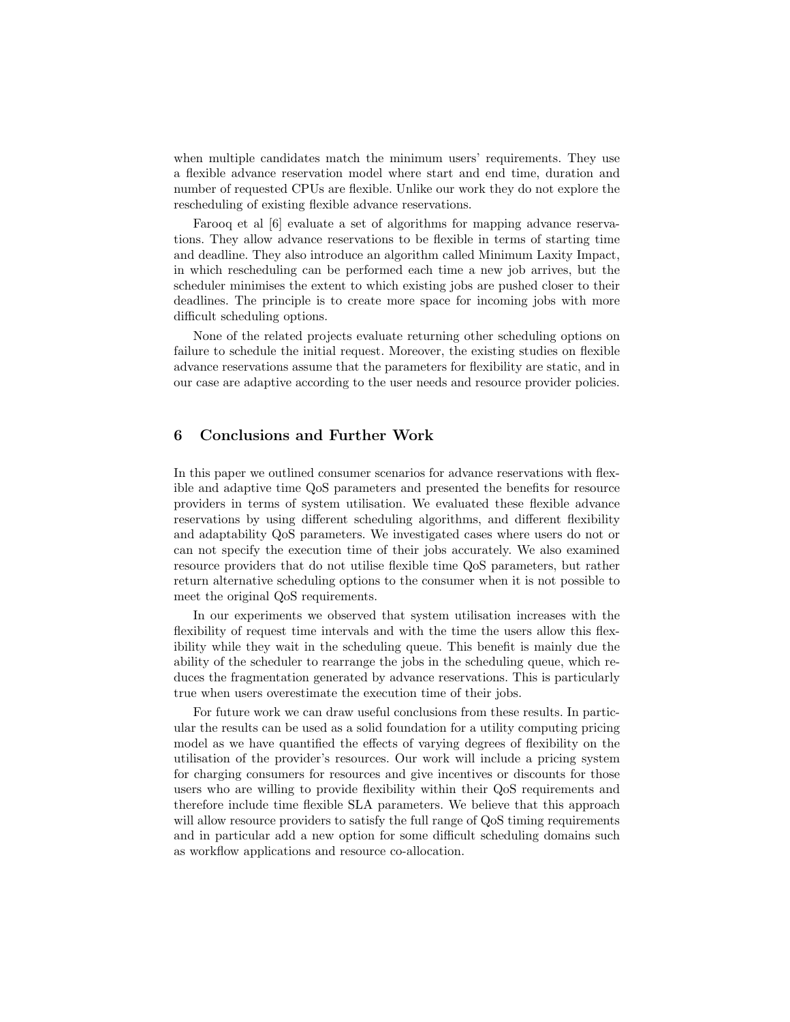when multiple candidates match the minimum users' requirements. They use a flexible advance reservation model where start and end time, duration and number of requested CPUs are flexible. Unlike our work they do not explore the rescheduling of existing flexible advance reservations.

Farooq et al [6] evaluate a set of algorithms for mapping advance reservations. They allow advance reservations to be flexible in terms of starting time and deadline. They also introduce an algorithm called Minimum Laxity Impact, in which rescheduling can be performed each time a new job arrives, but the scheduler minimises the extent to which existing jobs are pushed closer to their deadlines. The principle is to create more space for incoming jobs with more difficult scheduling options.

None of the related projects evaluate returning other scheduling options on failure to schedule the initial request. Moreover, the existing studies on flexible advance reservations assume that the parameters for flexibility are static, and in our case are adaptive according to the user needs and resource provider policies.

# 6 Conclusions and Further Work

In this paper we outlined consumer scenarios for advance reservations with flexible and adaptive time QoS parameters and presented the benefits for resource providers in terms of system utilisation. We evaluated these flexible advance reservations by using different scheduling algorithms, and different flexibility and adaptability QoS parameters. We investigated cases where users do not or can not specify the execution time of their jobs accurately. We also examined resource providers that do not utilise flexible time QoS parameters, but rather return alternative scheduling options to the consumer when it is not possible to meet the original QoS requirements.

In our experiments we observed that system utilisation increases with the flexibility of request time intervals and with the time the users allow this flexibility while they wait in the scheduling queue. This benefit is mainly due the ability of the scheduler to rearrange the jobs in the scheduling queue, which reduces the fragmentation generated by advance reservations. This is particularly true when users overestimate the execution time of their jobs.

For future work we can draw useful conclusions from these results. In particular the results can be used as a solid foundation for a utility computing pricing model as we have quantified the effects of varying degrees of flexibility on the utilisation of the provider's resources. Our work will include a pricing system for charging consumers for resources and give incentives or discounts for those users who are willing to provide flexibility within their QoS requirements and therefore include time flexible SLA parameters. We believe that this approach will allow resource providers to satisfy the full range of QoS timing requirements and in particular add a new option for some difficult scheduling domains such as workflow applications and resource co-allocation.